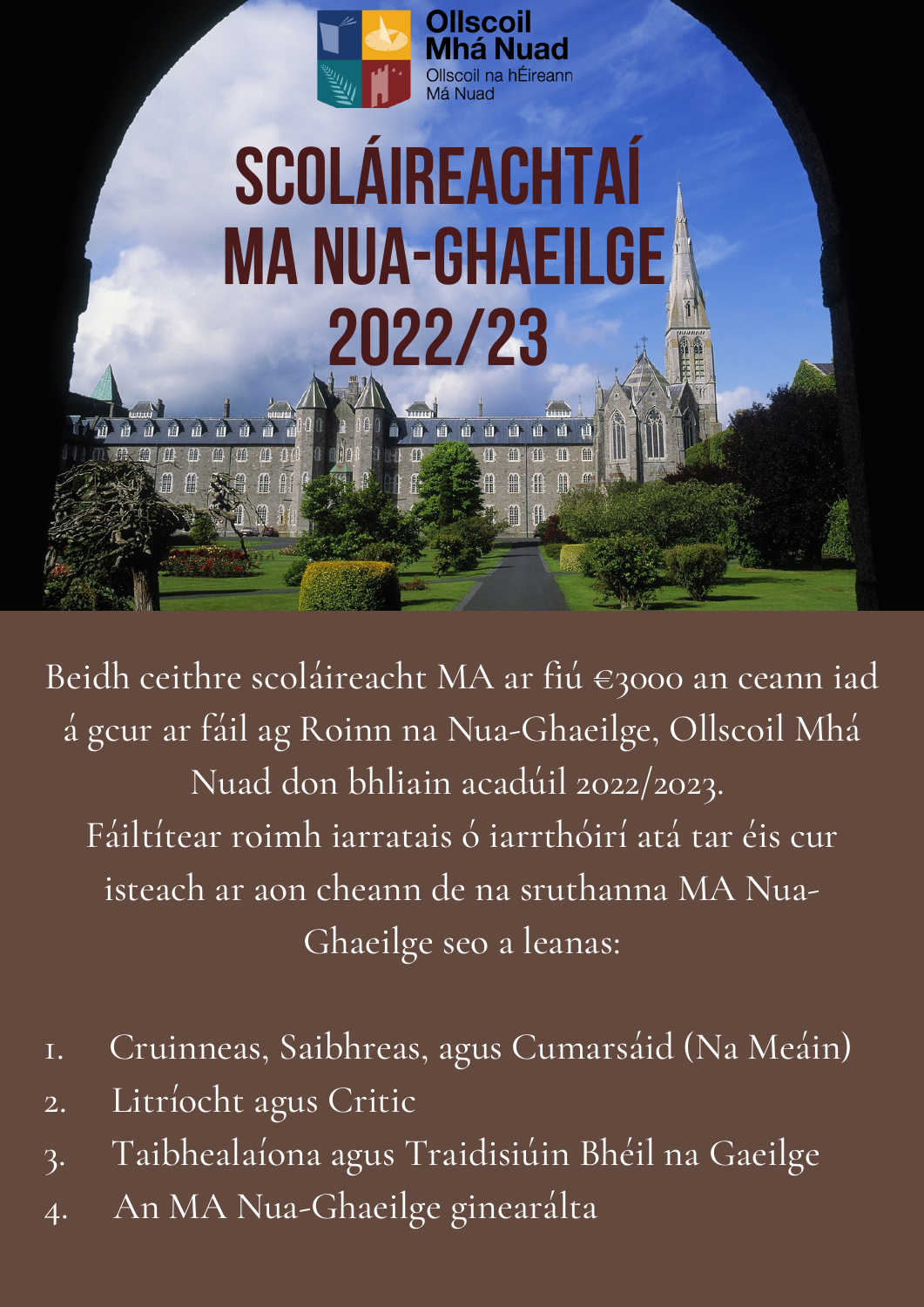

Ollscoil na hÉireann

## **SCOLÁIREACHTAÍ MA NUA-GHAEILGE 2022/23**

Beidh ceithre scoláireacht MA ar fiú €3000 an ceann iad

á gcur ar fáil ag Roinn na Nua-Ghaeilge, Ollscoil Mhá Nuad don bhliain acadúil 2022/2023. Fáiltítear roimh iarratais ó iarrthóirí atá tar éis cur isteach ar aon cheann de na sruthanna MA Nua-Ghaeilge seo a leanas:

- 1. Cruinneas, Saibhreas, agus Cumarsáid (Na Meáin)
- 2. Litríocht agus Critic

鵳

- 3. Taibhealaíona agus Traidisiúin Bhéil na Gaeilge
- 4. An MA Nua-Ghaeilge ginearálta